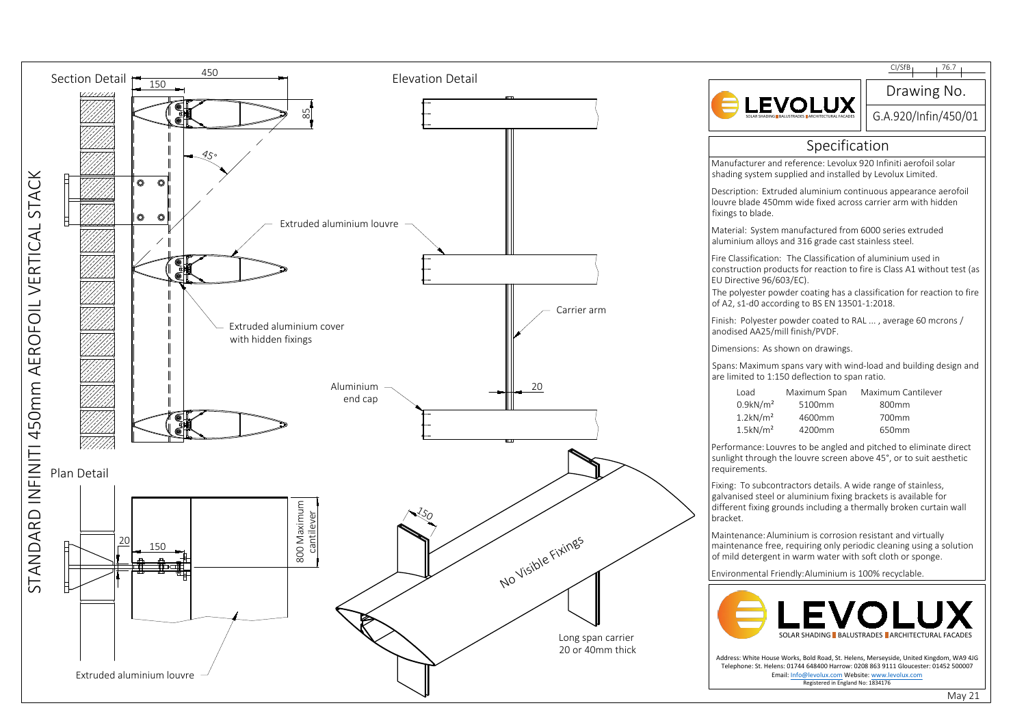

|                                                                                                                                                                                                                                                                                                                                                             | CI/SfB <sub>1</sub>                           |
|-------------------------------------------------------------------------------------------------------------------------------------------------------------------------------------------------------------------------------------------------------------------------------------------------------------------------------------------------------------|-----------------------------------------------|
|                                                                                                                                                                                                                                                                                                                                                             | 76.7<br>Drawing No.                           |
|                                                                                                                                                                                                                                                                                                                                                             | G.A.920/Infin/450/01                          |
| Specification                                                                                                                                                                                                                                                                                                                                               |                                               |
| Manufacturer and reference: Levolux 920 Infiniti aerofoil solar<br>shading system supplied and installed by Levolux Limited.                                                                                                                                                                                                                                |                                               |
| Description: Extruded aluminium continuous appearance aerofoil<br>ouvre blade 450mm wide fixed across carrier arm with hidden<br>ixings to blade.                                                                                                                                                                                                           |                                               |
| Material: System manufactured from 6000 series extruded<br>aluminium alloys and 316 grade cast stainless steel.                                                                                                                                                                                                                                             |                                               |
| ire Classification: The Classification of aluminium used in<br>construction products for reaction to fire is Class A1 without test (as<br>U Directive 96/603/EC).<br>The polyester powder coating has a classification for reaction to fire<br>of A2, s1-d0 according to BS EN 13501-1:2018.<br>inish: Polyester powder coated to RAL , average 60 mcrons / |                                               |
| anodised AA25/mill finish/PVDF.                                                                                                                                                                                                                                                                                                                             |                                               |
| Dimensions: As shown on drawings.<br>Spans: Maximum spans vary with wind-load and building design and<br>are limited to 1:150 deflection to span ratio.                                                                                                                                                                                                     |                                               |
| Load<br>Maximum Span<br>$0.9$ kN/ $m2$<br>5100mm<br>$1.2$ kN/m <sup>2</sup><br>4600mm<br>$1.5$ k $N/m2$<br>4200mm                                                                                                                                                                                                                                           | Maximum Cantilever<br>800mm<br>700mm<br>650mm |
| erformance: Louvres to be angled and pitched to eliminate direct^<br>sunlight through the louvre screen above 45°, or to suit aesthetic<br>equirements.                                                                                                                                                                                                     |                                               |
| ixing: To subcontractors details. A wide range of stainless,<br>zalvanised steel or aluminium fixing brackets is available for<br>different fixing grounds including a thermally broken curtain wall<br>oracket.                                                                                                                                            |                                               |
| Maintenance: Aluminium is corrosion resistant and virtually<br>naintenance free, requiring only periodic cleaning using a solution<br>of mild detergent in warm water with soft cloth or sponge.                                                                                                                                                            |                                               |
|                                                                                                                                                                                                                                                                                                                                                             |                                               |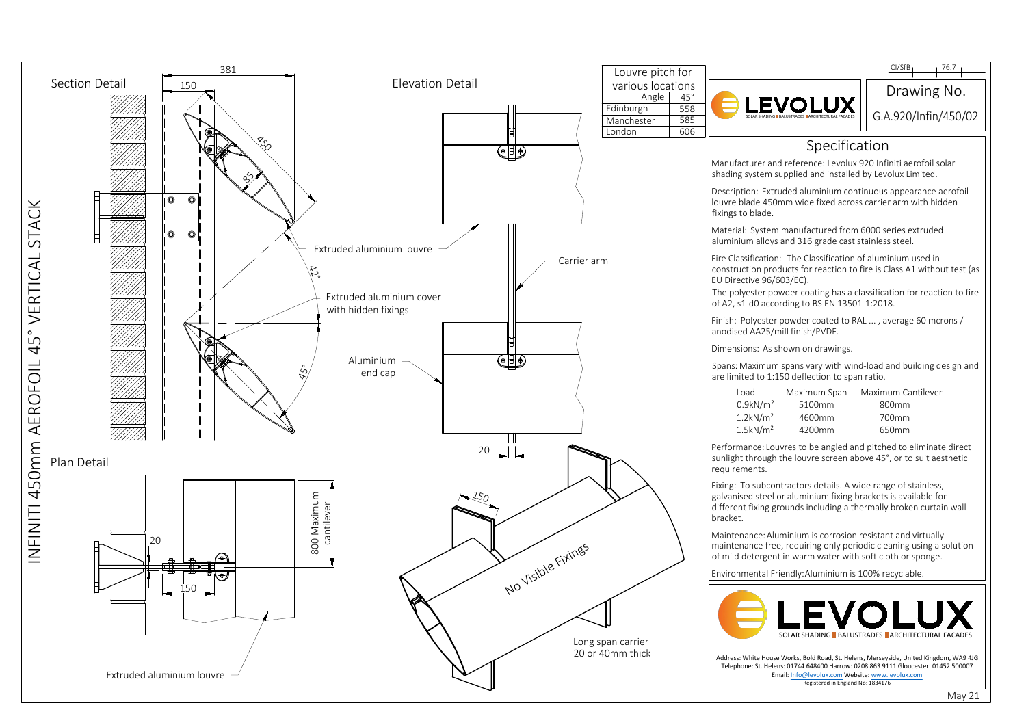